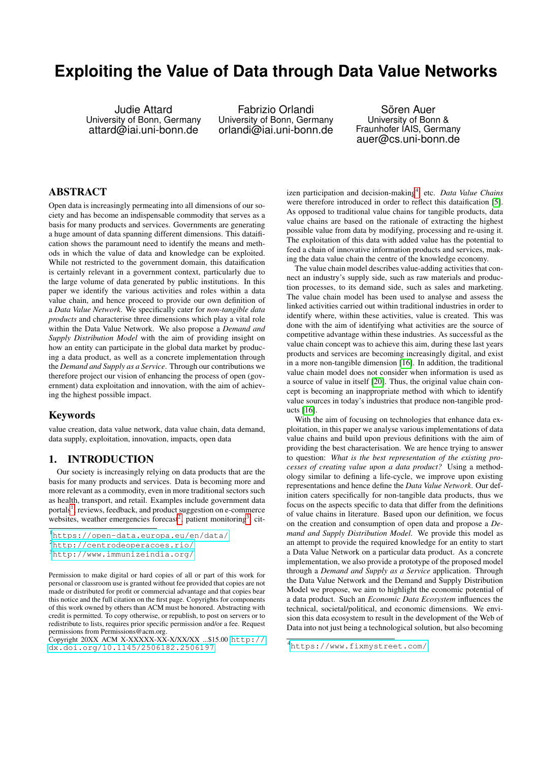# <span id="page-0-0"></span>**Exploiting the Value of Data through Data Value Networks**

Judie Attard University of Bonn, Germany attard@iai.uni-bonn.de

Fabrizio Orlandi University of Bonn, Germany orlandi@iai.uni-bonn.de

Sören Auer University of Bonn & Fraunhofer IAIS, Germany auer@cs.uni-bonn.de

## ABSTRACT

Open data is increasingly permeating into all dimensions of our society and has become an indispensable commodity that serves as a basis for many products and services. Governments are generating a huge amount of data spanning different dimensions. This dataification shows the paramount need to identify the means and methods in which the value of data and knowledge can be exploited. While not restricted to the government domain, this dataification is certainly relevant in a government context, particularly due to the large volume of data generated by public institutions. In this paper we identify the various activities and roles within a data value chain, and hence proceed to provide our own definition of a *Data Value Network*. We specifically cater for *non-tangible data products* and characterise three dimensions which play a vital role within the Data Value Network. We also propose a *Demand and Supply Distribution Model* with the aim of providing insight on how an entity can participate in the global data market by producing a data product, as well as a concrete implementation through the *Demand and Supply as a Service*. Through our contributions we therefore project our vision of enhancing the process of open (government) data exploitation and innovation, with the aim of achieving the highest possible impact.

## Keywords

value creation, data value network, data value chain, data demand, data supply, exploitation, innovation, impacts, open data

## 1. INTRODUCTION

Our society is increasingly relying on data products that are the basis for many products and services. Data is becoming more and more relevant as a commodity, even in more traditional sectors such as health, transport, and retail. Examples include government data portals<sup>1</sup>, reviews, feedback, and product suggestion on e-commerce websites, weather emergencies forecast<sup>2</sup>, patient monitoring<sup>3</sup>, cit-

Permission to make digital or hard copies of all or part of this work for personal or classroom use is granted without fee provided that copies are not made or distributed for profit or commercial advantage and that copies bear this notice and the full citation on the first page. Copyrights for components of this work owned by others than ACM must be honored. Abstracting with credit is permitted. To copy otherwise, or republish, to post on servers or to redistribute to lists, requires prior specific permission and/or a fee. Request permissions from Permissions@acm.org.

Copyright 20XX ACM X-XXXXX-XX-X/XX/XX ...\$15.00 [http://](http://dx.doi.org/10.1145/2506182.2506197) [dx.doi.org/10.1145/2506182.2506197](http://dx.doi.org/10.1145/2506182.2506197).

izen participation and decision-making<sup>4</sup>, etc. Data Value Chains were therefore introduced in order to reflect this dataification [\[5\]](#page-9-0). As opposed to traditional value chains for tangible products, data value chains are based on the rationale of extracting the highest possible value from data by modifying, processing and re-using it. The exploitation of this data with added value has the potential to feed a chain of innovative information products and services, making the data value chain the centre of the knowledge economy.

The value chain model describes value-adding activities that connect an industry's supply side, such as raw materials and production processes, to its demand side, such as sales and marketing. The value chain model has been used to analyse and assess the linked activities carried out within traditional industries in order to identify where, within these activities, value is created. This was done with the aim of identifying what activities are the source of competitive advantage within these industries. As successful as the value chain concept was to achieve this aim, during these last years products and services are becoming increasingly digital, and exist in a more non-tangible dimension [\[16\]](#page-9-1). In addition, the traditional value chain model does not consider when information is used as a source of value in itself [\[20\]](#page-9-2). Thus, the original value chain concept is becoming an inappropriate method with which to identify value sources in today's industries that produce non-tangible products [\[16\]](#page-9-1).

With the aim of focusing on technologies that enhance data exploitation, in this paper we analyse various implementations of data value chains and build upon previous definitions with the aim of providing the best characterisation. We are hence trying to answer to question: *What is the best representation of the existing processes of creating value upon a data product?* Using a methodology similar to defining a life-cycle, we improve upon existing representations and hence define the *Data Value Network*. Our definition caters specifically for non-tangible data products, thus we focus on the aspects specific to data that differ from the definitions of value chains in literature. Based upon our definition, we focus on the creation and consumption of open data and propose a *Demand and Supply Distribution Model*. We provide this model as an attempt to provide the required knowledge for an entity to start a Data Value Network on a particular data product. As a concrete implementation, we also provide a prototype of the proposed model through a *Demand and Supply as a Service* application. Through the Data Value Network and the Demand and Supply Distribution Model we propose, we aim to highlight the economic potential of a data product. Such an *Economic Data Ecosystem* influences the technical, societal/political, and economic dimensions. We envision this data ecosystem to result in the development of the Web of Data into not just being a technological solution, but also becoming

<sup>1</sup><https://open-data.europa.eu/en/data/>

<sup>2</sup><http://centrodeoperacoes.rio/>

<sup>3</sup>[http://www.immunizeindia.org/]( http://www.immunizeindia.org/)

<sup>4</sup><https://www.fixmystreet.com/>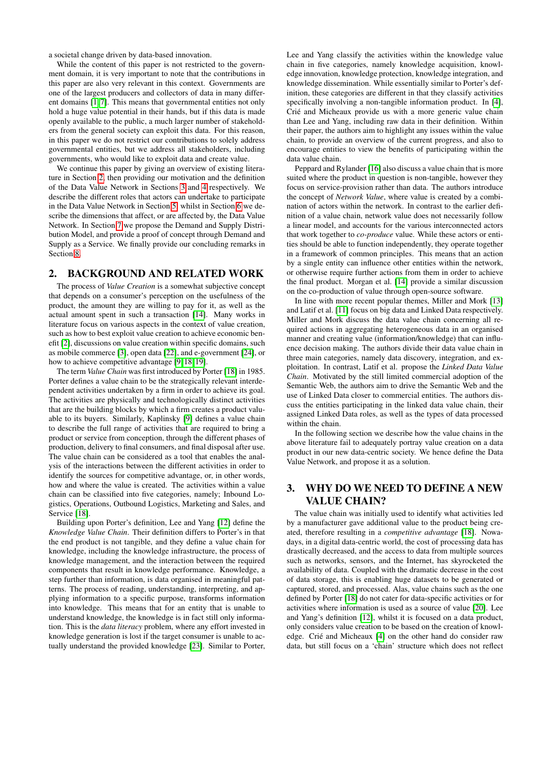a societal change driven by data-based innovation.

While the content of this paper is not restricted to the government domain, it is very important to note that the contributions in this paper are also very relevant in this context. Governments are one of the largest producers and collectors of data in many different domains [\[1,](#page-9-3) [7\]](#page-9-4). This means that governmental entities not only hold a huge value potential in their hands, but if this data is made openly available to the public, a much larger number of stakeholders from the general society can exploit this data. For this reason, in this paper we do not restrict our contributions to solely address governmental entities, but we address all stakeholders, including governments, who would like to exploit data and create value.

We continue this paper by giving an overview of existing literature in Section [2,](#page-1-0) then providing our motivation and the definition of the Data Value Network in Sections [3](#page-1-1) and [4](#page-2-0) respectively. We describe the different roles that actors can undertake to participate in the Data Value Network in Section [5,](#page-3-0) whilst in Section [6](#page-4-0) we describe the dimensions that affect, or are affected by, the Data Value Network. In Section [7](#page-6-0) we propose the Demand and Supply Distribution Model, and provide a proof of concept through Demand and Supply as a Service. We finally provide our concluding remarks in Section [8.](#page-8-0)

### <span id="page-1-0"></span>2. BACKGROUND AND RELATED WORK

The process of *Value Creation* is a somewhat subjective concept that depends on a consumer's perception on the usefulness of the product, the amount they are willing to pay for it, as well as the actual amount spent in such a transaction [\[14\]](#page-9-5). Many works in literature focus on various aspects in the context of value creation, such as how to best exploit value creation to achieve economic benefit [\[2\]](#page-9-6), discussions on value creation within specific domains, such as mobile commerce [\[3\]](#page-9-7), open data [\[22\]](#page-9-8), and e-government [\[24\]](#page-9-9), or how to achieve competitive advantage [\[9,](#page-9-10) [18,](#page-9-11) [19\]](#page-9-12).

The term *Value Chain* was first introduced by Porter [\[18\]](#page-9-11) in 1985. Porter defines a value chain to be the strategically relevant interdependent activities undertaken by a firm in order to achieve its goal. The activities are physically and technologically distinct activities that are the building blocks by which a firm creates a product valuable to its buyers. Similarly, Kaplinsky [\[9\]](#page-9-10) defines a value chain to describe the full range of activities that are required to bring a product or service from conception, through the different phases of production, delivery to final consumers, and final disposal after use. The value chain can be considered as a tool that enables the analysis of the interactions between the different activities in order to identify the sources for competitive advantage, or, in other words, how and where the value is created. The activities within a value chain can be classified into five categories, namely; Inbound Logistics, Operations, Outbound Logistics, Marketing and Sales, and Service [\[18\]](#page-9-11).

Building upon Porter's definition, Lee and Yang [\[12\]](#page-9-13) define the *Knowledge Value Chain*. Their definition differs to Porter's in that the end product is not tangible, and they define a value chain for knowledge, including the knowledge infrastructure, the process of knowledge management, and the interaction between the required components that result in knowledge performance. Knowledge, a step further than information, is data organised in meaningful patterns. The process of reading, understanding, interpreting, and applying information to a specific purpose, transforms information into knowledge. This means that for an entity that is unable to understand knowledge, the knowledge is in fact still only information. This is the *data literacy* problem, where any effort invested in knowledge generation is lost if the target consumer is unable to actually understand the provided knowledge [\[23\]](#page-9-14). Similar to Porter,

Lee and Yang classify the activities within the knowledge value chain in five categories, namely knowledge acquisition, knowledge innovation, knowledge protection, knowledge integration, and knowledge dissemination. While essentially similar to Porter's definition, these categories are different in that they classify activities specifically involving a non-tangible information product. In [\[4\]](#page-9-15), Crié and Micheaux provide us with a more generic value chain than Lee and Yang, including raw data in their definition. Within their paper, the authors aim to highlight any issues within the value chain, to provide an overview of the current progress, and also to encourage entities to view the benefits of participating within the data value chain.

Peppard and Rylander [\[16\]](#page-9-1) also discuss a value chain that is more suited where the product in question is non-tangible, however they focus on service-provision rather than data. The authors introduce the concept of *Network Value*, where value is created by a combination of actors within the network. In contrast to the earlier definition of a value chain, network value does not necessarily follow a linear model, and accounts for the various interconnected actors that work together to *co-produce* value. While these actors or entities should be able to function independently, they operate together in a framework of common principles. This means that an action by a single entity can influence other entities within the network, or otherwise require further actions from them in order to achieve the final product. Morgan et al. [\[14\]](#page-9-5) provide a similar discussion on the co-production of value through open-source software.

In line with more recent popular themes, Miller and Mork [\[13\]](#page-9-16) and Latif et al. [\[11\]](#page-9-17) focus on big data and Linked Data respectively. Miller and Mork discuss the data value chain concerning all required actions in aggregating heterogeneous data in an organised manner and creating value (information/knowledge) that can influence decision making. The authors divide their data value chain in three main categories, namely data discovery, integration, and exploitation. In contrast, Latif et al. propose the *Linked Data Value Chain*. Motivated by the still limited commercial adoption of the Semantic Web, the authors aim to drive the Semantic Web and the use of Linked Data closer to commercial entities. The authors discuss the entities participating in the linked data value chain, their assigned Linked Data roles, as well as the types of data processed within the chain.

In the following section we describe how the value chains in the above literature fail to adequately portray value creation on a data product in our new data-centric society. We hence define the Data Value Network, and propose it as a solution.

# <span id="page-1-1"></span>3. WHY DO WE NEED TO DEFINE A NEW VALUE CHAIN?

The value chain was initially used to identify what activities led by a manufacturer gave additional value to the product being created, therefore resulting in a *competitive advantage* [\[18\]](#page-9-11). Nowadays, in a digital data-centric world, the cost of processing data has drastically decreased, and the access to data from multiple sources such as networks, sensors, and the Internet, has skyrocketed the availability of data. Coupled with the dramatic decrease in the cost of data storage, this is enabling huge datasets to be generated or captured, stored, and processed. Alas, value chains such as the one defined by Porter [\[18\]](#page-9-11) do not cater for data-specific activities or for activities where information is used as a source of value [\[20\]](#page-9-2). Lee and Yang's definition [\[12\]](#page-9-13), whilst it is focused on a data product, only considers value creation to be based on the creation of knowledge. Crié and Micheaux [\[4\]](#page-9-15) on the other hand do consider raw data, but still focus on a 'chain' structure which does not reflect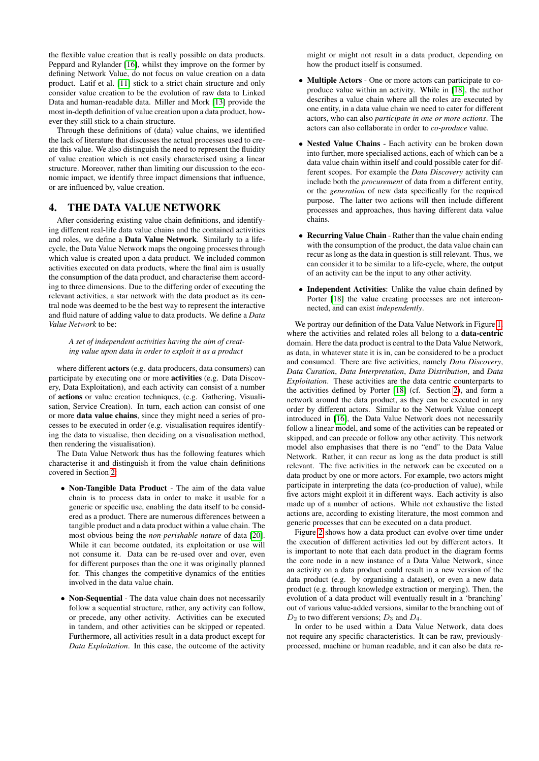the flexible value creation that is really possible on data products. Peppard and Rylander [\[16\]](#page-9-1), whilst they improve on the former by defining Network Value, do not focus on value creation on a data product. Latif et al. [\[11\]](#page-9-17) stick to a strict chain structure and only consider value creation to be the evolution of raw data to Linked Data and human-readable data. Miller and Mork [\[13\]](#page-9-16) provide the most in-depth definition of value creation upon a data product, however they still stick to a chain structure.

Through these definitions of (data) value chains, we identified the lack of literature that discusses the actual processes used to create this value. We also distinguish the need to represent the fluidity of value creation which is not easily characterised using a linear structure. Moreover, rather than limiting our discussion to the economic impact, we identify three impact dimensions that influence, or are influenced by, value creation.

### <span id="page-2-0"></span>4. THE DATA VALUE NETWORK

After considering existing value chain definitions, and identifying different real-life data value chains and the contained activities and roles, we define a Data Value Network. Similarly to a lifecycle, the Data Value Network maps the ongoing processes through which value is created upon a data product. We included common activities executed on data products, where the final aim is usually the consumption of the data product, and characterise them according to three dimensions. Due to the differing order of executing the relevant activities, a star network with the data product as its central node was deemed to be the best way to represent the interactive and fluid nature of adding value to data products. We define a *Data Value Network* to be:

*A set of independent activities having the aim of creating value upon data in order to exploit it as a product*

where different actors (e.g. data producers, data consumers) can participate by executing one or more activities (e.g. Data Discovery, Data Exploitation), and each activity can consist of a number of actions or value creation techniques, (e.g. Gathering, Visualisation, Service Creation). In turn, each action can consist of one or more data value chains, since they might need a series of processes to be executed in order (e.g. visualisation requires identifying the data to visualise, then deciding on a visualisation method, then rendering the visualisation).

The Data Value Network thus has the following features which characterise it and distinguish it from the value chain definitions covered in Section [2:](#page-1-0)

- Non-Tangible Data Product The aim of the data value chain is to process data in order to make it usable for a generic or specific use, enabling the data itself to be considered as a product. There are numerous differences between a tangible product and a data product within a value chain. The most obvious being the *non-perishable nature* of data [\[20\]](#page-9-2). While it can become outdated, its exploitation or use will not consume it. Data can be re-used over and over, even for different purposes than the one it was originally planned for. This changes the competitive dynamics of the entities involved in the data value chain.
- Non-Sequential The data value chain does not necessarily follow a sequential structure, rather, any activity can follow, or precede, any other activity. Activities can be executed in tandem, and other activities can be skipped or repeated. Furthermore, all activities result in a data product except for *Data Exploitation*. In this case, the outcome of the activity

might or might not result in a data product, depending on how the product itself is consumed.

- Multiple Actors One or more actors can participate to coproduce value within an activity. While in [\[18\]](#page-9-11), the author describes a value chain where all the roles are executed by one entity, in a data value chain we need to cater for different actors, who can also *participate in one or more actions*. The actors can also collaborate in order to *co-produce* value.
- Nested Value Chains Each activity can be broken down into further, more specialised actions, each of which can be a data value chain within itself and could possible cater for different scopes. For example the *Data Discovery* activity can include both the *procurement* of data from a different entity, or the *generation* of new data specifically for the required purpose. The latter two actions will then include different processes and approaches, thus having different data value chains.
- Recurring Value Chain Rather than the value chain ending with the consumption of the product, the data value chain can recur as long as the data in question is still relevant. Thus, we can consider it to be similar to a life-cycle, where, the output of an activity can be the input to any other activity.
- Independent Activities: Unlike the value chain defined by Porter [\[18\]](#page-9-11) the value creating processes are not interconnected, and can exist *independently*.

We portray our definition of the Data Value Network in Figure [1,](#page-3-1) where the activities and related roles all belong to a **data-centric** domain. Here the data product is central to the Data Value Network, as data, in whatever state it is in, can be considered to be a product and consumed. There are five activities, namely *Data Discovery*, *Data Curation*, *Data Interpretation*, *Data Distribution*, and *Data Exploitation*. These activities are the data centric counterparts to the activities defined by Porter [\[18\]](#page-9-11) (cf. Section [2\)](#page-1-0), and form a network around the data product, as they can be executed in any order by different actors. Similar to the Network Value concept introduced in [\[16\]](#page-9-1), the Data Value Network does not necessarily follow a linear model, and some of the activities can be repeated or skipped, and can precede or follow any other activity. This network model also emphasises that there is no "end" to the Data Value Network. Rather, it can recur as long as the data product is still relevant. The five activities in the network can be executed on a data product by one or more actors. For example, two actors might participate in interpreting the data (co-production of value), while five actors might exploit it in different ways. Each activity is also made up of a number of actions. While not exhaustive the listed actions are, according to existing literature, the most common and generic processes that can be executed on a data product.

Figure [2](#page-3-2) shows how a data product can evolve over time under the execution of different activities led out by different actors. It is important to note that each data product in the diagram forms the core node in a new instance of a Data Value Network, since an activity on a data product could result in a new version of the data product (e.g. by organising a dataset), or even a new data product (e.g. through knowledge extraction or merging). Then, the evolution of a data product will eventually result in a 'branching' out of various value-added versions, similar to the branching out of  $D_2$  to two different versions;  $D_3$  and  $D_4$ .

In order to be used within a Data Value Network, data does not require any specific characteristics. It can be raw, previouslyprocessed, machine or human readable, and it can also be data re-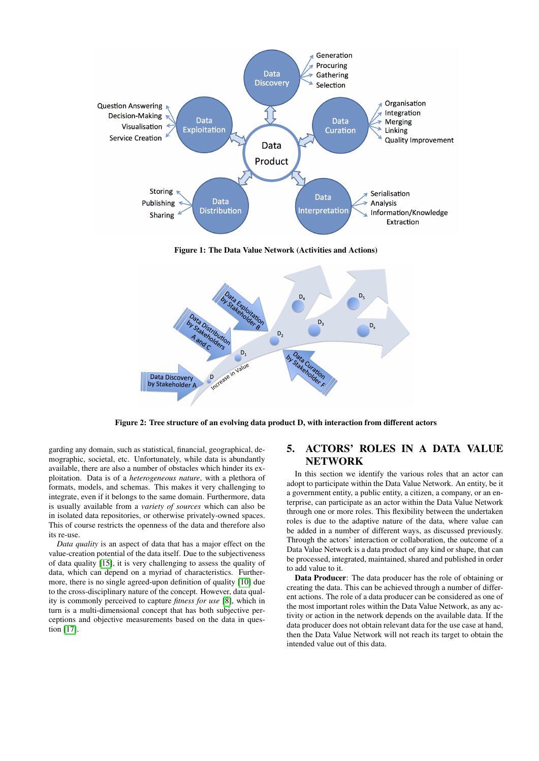

<span id="page-3-1"></span>Figure 1: The Data Value Network (Activities and Actions)



<span id="page-3-2"></span>Figure 2: Tree structure of an evolving data product D, with interaction from different actors

garding any domain, such as statistical, financial, geographical, demographic, societal, etc. Unfortunately, while data is abundantly available, there are also a number of obstacles which hinder its exploitation. Data is of a *heterogeneous nature*, with a plethora of formats, models, and schemas. This makes it very challenging to integrate, even if it belongs to the same domain. Furthermore, data is usually available from a *variety of sources* which can also be in isolated data repositories, or otherwise privately-owned spaces. This of course restricts the openness of the data and therefore also its re-use.

*Data quality* is an aspect of data that has a major effect on the value-creation potential of the data itself. Due to the subjectiveness of data quality [\[15\]](#page-9-18), it is very challenging to assess the quality of data, which can depend on a myriad of characteristics. Furthermore, there is no single agreed-upon definition of quality [\[10\]](#page-9-19) due to the cross-disciplinary nature of the concept. However, data quality is commonly perceived to capture *fitness for use* [\[8\]](#page-9-20), which in turn is a multi-dimensional concept that has both subjective perceptions and objective measurements based on the data in question [\[17\]](#page-9-21).

# <span id="page-3-0"></span>5. ACTORS' ROLES IN A DATA VALUE NETWORK

In this section we identify the various roles that an actor can adopt to participate within the Data Value Network. An entity, be it a government entity, a public entity, a citizen, a company, or an enterprise, can participate as an actor within the Data Value Network through one or more roles. This flexibility between the undertaken roles is due to the adaptive nature of the data, where value can be added in a number of different ways, as discussed previously. Through the actors' interaction or collaboration, the outcome of a Data Value Network is a data product of any kind or shape, that can be processed, integrated, maintained, shared and published in order to add value to it.

Data Producer: The data producer has the role of obtaining or creating the data. This can be achieved through a number of different actions. The role of a data producer can be considered as one of the most important roles within the Data Value Network, as any activity or action in the network depends on the available data. If the data producer does not obtain relevant data for the use case at hand, then the Data Value Network will not reach its target to obtain the intended value out of this data.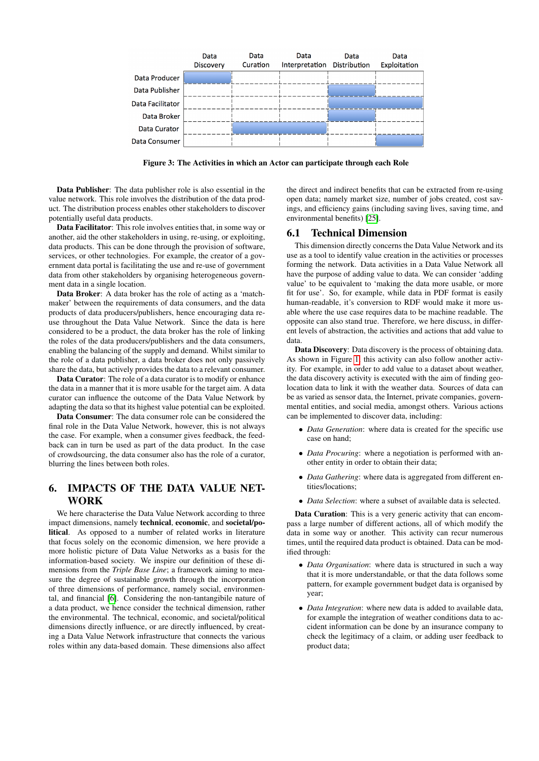

Figure 3: The Activities in which an Actor can participate through each Role

Data Publisher: The data publisher role is also essential in the value network. This role involves the distribution of the data product. The distribution process enables other stakeholders to discover potentially useful data products.

Data Facilitator: This role involves entities that, in some way or another, aid the other stakeholders in using, re-using, or exploiting, data products. This can be done through the provision of software, services, or other technologies. For example, the creator of a government data portal is facilitating the use and re-use of government data from other stakeholders by organising heterogeneous government data in a single location.

Data Broker: A data broker has the role of acting as a 'matchmaker' between the requirements of data consumers, and the data products of data producers/publishers, hence encouraging data reuse throughout the Data Value Network. Since the data is here considered to be a product, the data broker has the role of linking the roles of the data producers/publishers and the data consumers, enabling the balancing of the supply and demand. Whilst similar to the role of a data publisher, a data broker does not only passively share the data, but actively provides the data to a relevant consumer.

Data Curator: The role of a data curator is to modify or enhance the data in a manner that it is more usable for the target aim. A data curator can influence the outcome of the Data Value Network by adapting the data so that its highest value potential can be exploited.

Data Consumer: The data consumer role can be considered the final role in the Data Value Network, however, this is not always the case. For example, when a consumer gives feedback, the feedback can in turn be used as part of the data product. In the case of crowdsourcing, the data consumer also has the role of a curator, blurring the lines between both roles.

# <span id="page-4-0"></span>6. IMPACTS OF THE DATA VALUE NET-WORK

We here characterise the Data Value Network according to three impact dimensions, namely technical, economic, and societal/political. As opposed to a number of related works in literature that focus solely on the economic dimension, we here provide a more holistic picture of Data Value Networks as a basis for the information-based society. We inspire our definition of these dimensions from the *Triple Base Line*; a framework aiming to measure the degree of sustainable growth through the incorporation of three dimensions of performance, namely social, environmental, and financial [\[6\]](#page-9-22). Considering the non-tantangibile nature of a data product, we hence consider the technical dimension, rather the environmental. The technical, economic, and societal/political dimensions directly influence, or are directly influenced, by creating a Data Value Network infrastructure that connects the various roles within any data-based domain. These dimensions also affect

the direct and indirect benefits that can be extracted from re-using open data; namely market size, number of jobs created, cost savings, and efficiency gains (including saving lives, saving time, and environmental benefits) [\[25\]](#page-9-23).

## 6.1 Technical Dimension

This dimension directly concerns the Data Value Network and its use as a tool to identify value creation in the activities or processes forming the network. Data activities in a Data Value Network all have the purpose of adding value to data. We can consider 'adding value' to be equivalent to 'making the data more usable, or more fit for use'. So, for example, while data in PDF format is easily human-readable, it's conversion to RDF would make it more usable where the use case requires data to be machine readable. The opposite can also stand true. Therefore, we here discuss, in different levels of abstraction, the activities and actions that add value to data.

Data Discovery: Data discovery is the process of obtaining data. As shown in Figure [1,](#page-3-1) this activity can also follow another activity. For example, in order to add value to a dataset about weather, the data discovery activity is executed with the aim of finding geolocation data to link it with the weather data. Sources of data can be as varied as sensor data, the Internet, private companies, governmental entities, and social media, amongst others. Various actions can be implemented to discover data, including:

- *Data Generation*: where data is created for the specific use case on hand;
- *Data Procuring*: where a negotiation is performed with another entity in order to obtain their data;
- *Data Gathering*: where data is aggregated from different entities/locations;
- *Data Selection*: where a subset of available data is selected.

Data Curation: This is a very generic activity that can encompass a large number of different actions, all of which modify the data in some way or another. This activity can recur numerous times, until the required data product is obtained. Data can be modified through:

- *Data Organisation*: where data is structured in such a way that it is more understandable, or that the data follows some pattern, for example government budget data is organised by year;
- *Data Integration*: where new data is added to available data, for example the integration of weather conditions data to accident information can be done by an insurance company to check the legitimacy of a claim, or adding user feedback to product data;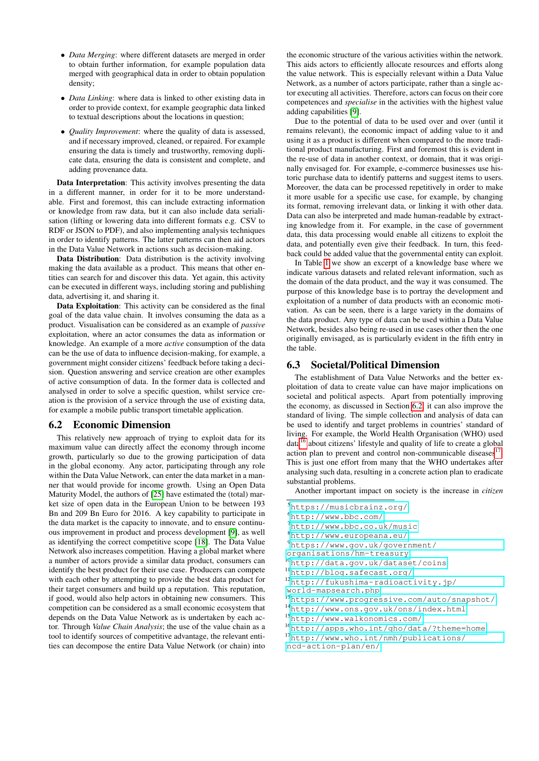- *Data Merging*: where different datasets are merged in order to obtain further information, for example population data merged with geographical data in order to obtain population density;
- *Data Linking*: where data is linked to other existing data in order to provide context, for example geographic data linked to textual descriptions about the locations in question;
- *Quality Improvement*: where the quality of data is assessed, and if necessary improved, cleaned, or repaired. For example ensuring the data is timely and trustworthy, removing duplicate data, ensuring the data is consistent and complete, and adding provenance data.

Data Interpretation: This activity involves presenting the data in a different manner, in order for it to be more understandable. First and foremost, this can include extracting information or knowledge from raw data, but it can also include data serialisation (lifting or lowering data into different formats e.g. CSV to RDF or JSON to PDF), and also implementing analysis techniques in order to identify patterns. The latter patterns can then aid actors in the Data Value Network in actions such as decision-making.

Data Distribution: Data distribution is the activity involving making the data available as a product. This means that other entities can search for and discover this data. Yet again, this activity can be executed in different ways, including storing and publishing data, advertising it, and sharing it.

Data Exploitation: This activity can be considered as the final goal of the data value chain. It involves consuming the data as a product. Visualisation can be considered as an example of *passive* exploitation, where an actor consumes the data as information or knowledge. An example of a more *active* consumption of the data can be the use of data to influence decision-making, for example, a government might consider citizens' feedback before taking a decision. Question answering and service creation are other examples of active consumption of data. In the former data is collected and analysed in order to solve a specific question, whilst service creation is the provision of a service through the use of existing data, for example a mobile public transport timetable application.

#### <span id="page-5-0"></span>6.2 Economic Dimension

This relatively new approach of trying to exploit data for its maximum value can directly affect the economy through income growth, particularly so due to the growing participation of data in the global economy. Any actor, participating through any role within the Data Value Network, can enter the data market in a manner that would provide for income growth. Using an Open Data Maturity Model, the authors of [\[25\]](#page-9-23) have estimated the (total) market size of open data in the European Union to be between 193 Bn and 209 Bn Euro for 2016. A key capability to participate in the data market is the capacity to innovate, and to ensure continuous improvement in product and process development [\[9\]](#page-9-10), as well as identifying the correct competitive scope [\[18\]](#page-9-11). The Data Value Network also increases competition. Having a global market where a number of actors provide a similar data product, consumers can identify the best product for their use case. Producers can compete with each other by attempting to provide the best data product for their target consumers and build up a reputation. This reputation, if good, would also help actors in obtaining new consumers. This competition can be considered as a small economic ecosystem that depends on the Data Value Network as is undertaken by each actor. Through *Value Chain Analysis*; the use of the value chain as a tool to identify sources of competitive advantage, the relevant entities can decompose the entire Data Value Network (or chain) into

the economic structure of the various activities within the network. This aids actors to efficiently allocate resources and efforts along the value network. This is especially relevant within a Data Value Network, as a number of actors participate, rather than a single actor executing all activities. Therefore, actors can focus on their core competences and *specialise* in the activities with the highest value adding capabilities [\[9\]](#page-9-10).

Due to the potential of data to be used over and over (until it remains relevant), the economic impact of adding value to it and using it as a product is different when compared to the more traditional product manufacturing. First and foremost this is evident in the re-use of data in another context, or domain, that it was originally envisaged for. For example, e-commerce businesses use historic purchase data to identify patterns and suggest items to users. Moreover, the data can be processed repetitively in order to make it more usable for a specific use case, for example, by changing its format, removing irrelevant data, or linking it with other data. Data can also be interpreted and made human-readable by extracting knowledge from it. For example, in the case of government data, this data processing would enable all citizens to exploit the data, and potentially even give their feedback. In turn, this feedback could be added value that the governmental entity can exploit.

In Table [1](#page-6-1) we show an excerpt of a knowledge base where we indicate various datasets and related relevant information, such as the domain of the data product, and the way it was consumed. The purpose of this knowledge base is to portray the development and exploitation of a number of data products with an economic motivation. As can be seen, there is a large variety in the domains of the data product. Any type of data can be used within a Data Value Network, besides also being re-used in use cases other then the one originally envisaged, as is particularly evident in the fifth entry in the table.

#### 6.3 Societal/Political Dimension

The establishment of Data Value Networks and the better exploitation of data to create value can have major implications on societal and political aspects. Apart from potentially improving the economy, as discussed in Section [6.2,](#page-5-0) it can also improve the standard of living. The simple collection and analysis of data can be used to identify and target problems in countries' standard of living. For example, the World Health Organisation (WHO) used  $data<sup>16</sup>$  $data<sup>16</sup>$  $data<sup>16</sup>$  about citizens' lifestyle and quality of life to create a global action plan to prevent and control non-communicable diseases $17$ . This is just one effort from many that the WHO undertakes after analysing such data, resulting in a concrete action plan to eradicate substantial problems.

Another important impact on society is the increase in *citizen*

<https://musicbrainz.org/>  $<sup>6</sup>$ <http://www.bbc.com/></sup> <http://www.bbc.co.uk/music> <http://www.europeana.eu/> [https://www.gov.uk/government/](https://www.gov.uk/government/organisations/hm-treasury) [organisations/hm-treasury](https://www.gov.uk/government/organisations/hm-treasury) <http://data.gov.uk/dataset/coins> <http://blog.safecast.org/> [http://fukushima-radioactivity.jp/](http://fukushima-radioactivity.jp/world-mapsearch.php) [world-mapsearch.php](http://fukushima-radioactivity.jp/world-mapsearch.php) <https://www.progressive.com/auto/snapshot/> <http://www.ons.gov.uk/ons/index.html> <http://www.walkonomics.com/> <http://apps.who.int/gho/data/?theme=home> [http://www.who.int/nmh/publications/](http://www.who.int/nmh/publications/ncd-action-plan/en/) [ncd-action-plan/en/](http://www.who.int/nmh/publications/ncd-action-plan/en/)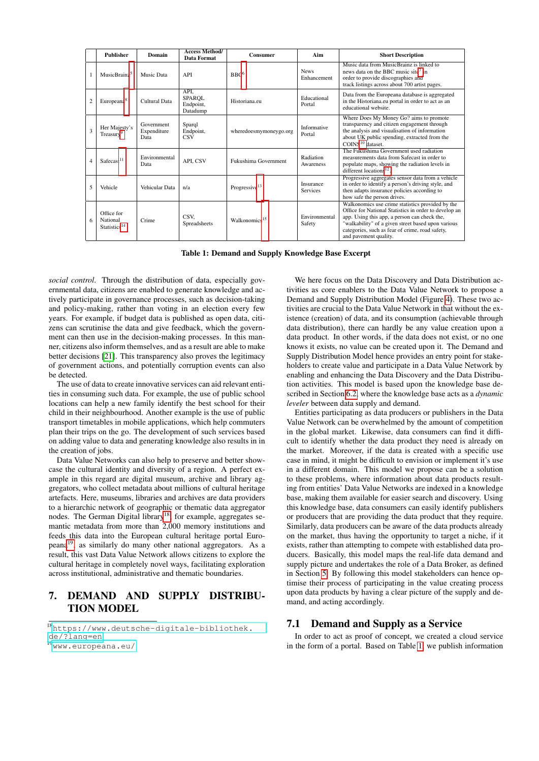|                | <b>Publisher</b>                                   | Domain                            | <b>Access Method/</b><br>Data Format    | Consumer                  | Aim                          | <b>Short Description</b>                                                                                                                                                                                                                                                                    |
|----------------|----------------------------------------------------|-----------------------------------|-----------------------------------------|---------------------------|------------------------------|---------------------------------------------------------------------------------------------------------------------------------------------------------------------------------------------------------------------------------------------------------------------------------------------|
|                | MusicBrainz <sup>5</sup>                           | Music Data                        | API                                     | BBC <sup>6</sup>          | <b>News</b><br>Enhancement   | Music data from MusicBrainz is linked to<br>news data on the BBC music site <sup>7</sup> in<br>order to provide discographies and<br>track listings across about 700 artist pages.                                                                                                          |
| $\overline{c}$ | Europeana <sup>8</sup>                             | Cultural Data                     | API.<br>SPAROL<br>Endpoint,<br>Datadump | Historiana.eu             | Educational<br>Portal        | Data from the Europeana database is aggregated<br>in the Historiana.eu portal in order to act as an<br>educational website.                                                                                                                                                                 |
| 3              | Her Majesty's<br>Treasury <sup>9</sup>             | Government<br>Expenditure<br>Data | Sparql<br>Endpoint,<br><b>CSV</b>       | wheredoesmymoneygo.org    | Informative<br>Portal        | Where Does My Money Go? aims to promote<br>transparency and citizen engagement through<br>the analysis and visualisation of information<br>about UK public spending, extracted from the<br>COINS <sup>10</sup> dataset.                                                                     |
| $\overline{4}$ | Safecast <sup>11</sup>                             | Environmental<br>Data             | API. CSV                                | Fukushima Government      | Radiation<br>Awareness       | The Fukushima Government used radiation<br>measurements data from Safecast in order to<br>populate maps, showing the radiation levels in<br>$differential$ different locations <sup>12</sup> .                                                                                              |
| 5              | Vehicle                                            | Vehicular Data                    | n/a                                     | Progressive <sup>13</sup> | Insurance<br><b>Services</b> | Progressive aggregates sensor data from a vehicle<br>in order to identify a person's driving style, and<br>then adapts insurance policies according to<br>how safe the person drives.                                                                                                       |
| 6              | Office for<br>National<br>Statistics <sup>14</sup> | Crime                             | CSV.<br>Spreadsheets                    | Walkonomics <sup>15</sup> | Environmental<br>Safety      | Walkonomics use crime statistics provided by the<br>Office for National Statistics in order to develop an<br>app. Using this app, a person can check the,<br>"walkability" of a given street based upon various<br>categories, such as fear of crime, road safety,<br>and pavement quality. |

<span id="page-6-1"></span>Table 1: Demand and Supply Knowledge Base Excerpt

*social control*. Through the distribution of data, especially governmental data, citizens are enabled to generate knowledge and actively participate in governance processes, such as decision-taking and policy-making, rather than voting in an election every few years. For example, if budget data is published as open data, citizens can scrutinise the data and give feedback, which the government can then use in the decision-making processes. In this manner, citizens also inform themselves, and as a result are able to make better decisions [\[21\]](#page-9-24). This transparency also proves the legitimacy of government actions, and potentially corruption events can also be detected.

The use of data to create innovative services can aid relevant entities in consuming such data. For example, the use of public school locations can help a new family identify the best school for their child in their neighbourhood. Another example is the use of public transport timetables in mobile applications, which help commuters plan their trips on the go. The development of such services based on adding value to data and generating knowledge also results in in the creation of jobs.

Data Value Networks can also help to preserve and better showcase the cultural identity and diversity of a region. A perfect example in this regard are digital museum, archive and library aggregators, who collect metadata about millions of cultural heritage artefacts. Here, museums, libraries and archives are data providers to a hierarchic network of geographic or thematic data aggregator nodes. The German Digital library<sup>[18](#page-0-0)</sup>, for example, aggregates semantic metadata from more than 2,000 memory institutions and feeds this data into the European cultural heritage portal Europeana[19](#page-0-0), as similarly do many other national aggregators. As a result, this vast Data Value Network allows citizens to explore the cultural heritage in completely novel ways, facilitating exploration across institutional, administrative and thematic boundaries.

# <span id="page-6-0"></span>7. DEMAND AND SUPPLY DISTRIBU-TION MODEL

We here focus on the Data Discovery and Data Distribution activities as core enablers to the Data Value Network to propose a Demand and Supply Distribution Model (Figure [4\)](#page-7-0). These two activities are crucial to the Data Value Network in that without the existence (creation) of data, and its consumption (achievable through data distribution), there can hardly be any value creation upon a data product. In other words, if the data does not exist, or no one knows it exists, no value can be created upon it. The Demand and Supply Distribution Model hence provides an entry point for stakeholders to create value and participate in a Data Value Network by enabling and enhancing the Data Discovery and the Data Distribution activities. This model is based upon the knowledge base described in Section [6.2,](#page-5-0) where the knowledge base acts as a *dynamic leveler* between data supply and demand.

Entities participating as data producers or publishers in the Data Value Network can be overwhelmed by the amount of competition in the global market. Likewise, data consumers can find it difficult to identify whether the data product they need is already on the market. Moreover, if the data is created with a specific use case in mind, it might be difficult to envision or implement it's use in a different domain. This model we propose can be a solution to these problems, where information about data products resulting from entities' Data Value Networks are indexed in a knowledge base, making them available for easier search and discovery. Using this knowledge base, data consumers can easily identify publishers or producers that are providing the data product that they require. Similarly, data producers can be aware of the data products already on the market, thus having the opportunity to target a niche, if it exists, rather than attempting to compete with established data producers. Basically, this model maps the real-life data demand and supply picture and undertakes the role of a Data Broker, as defined in Section [5.](#page-3-0) By following this model stakeholders can hence optimise their process of participating in the value creating process upon data products by having a clear picture of the supply and demand, and acting accordingly.

#### 7.1 Demand and Supply as a Service

In order to act as proof of concept, we created a cloud service in the form of a portal. Based on Table [1,](#page-6-1) we publish information

<sup>18</sup>[https://www.deutsche-digitale-bibliothek.](https://www.deutsche-digitale-bibliothek.de/?lang=en) [de/?lang=en](https://www.deutsche-digitale-bibliothek.de/?lang=en)

<sup>19</sup><www.europeana.eu/>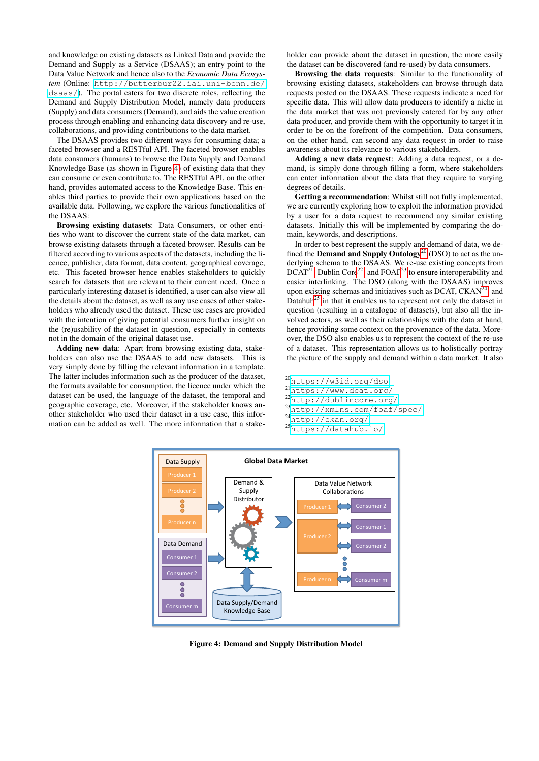and knowledge on existing datasets as Linked Data and provide the Demand and Supply as a Service (DSAAS); an entry point to the Data Value Network and hence also to the *Economic Data Ecosystem* (Online: [http://butterbur22.iai.uni-bonn.de/](http://butterbur22.iai.uni-bonn.de/dsaas/) [dsaas/](http://butterbur22.iai.uni-bonn.de/dsaas/)). The portal caters for two discrete roles, reflecting the Demand and Supply Distribution Model, namely data producers (Supply) and data consumers (Demand), and aids the value creation process through enabling and enhancing data discovery and re-use, collaborations, and providing contributions to the data market.

The DSAAS provides two different ways for consuming data; a faceted browser and a RESTful API. The faceted browser enables data consumers (humans) to browse the Data Supply and Demand Knowledge Base (as shown in Figure [4\)](#page-7-0) of existing data that they can consume or even contribute to. The RESTful API, on the other hand, provides automated access to the Knowledge Base. This enables third parties to provide their own applications based on the available data. Following, we explore the various functionalities of the DSAAS:

Browsing existing datasets: Data Consumers, or other entities who want to discover the current state of the data market, can browse existing datasets through a faceted browser. Results can be filtered according to various aspects of the datasets, including the licence, publisher, data format, data content, geographical coverage, etc. This faceted browser hence enables stakeholders to quickly search for datasets that are relevant to their current need. Once a particularly interesting dataset is identified, a user can also view all the details about the dataset, as well as any use cases of other stakeholders who already used the dataset. These use cases are provided with the intention of giving potential consumers further insight on the (re)usability of the dataset in question, especially in contexts not in the domain of the original dataset use.

Adding new data: Apart from browsing existing data, stakeholders can also use the DSAAS to add new datasets. This is very simply done by filling the relevant information in a template. The latter includes information such as the producer of the dataset, the formats available for consumption, the licence under which the dataset can be used, the language of the dataset, the temporal and geographic coverage, etc. Moreover, if the stakeholder knows another stakeholder who used their dataset in a use case, this information can be added as well. The more information that a stakeholder can provide about the dataset in question, the more easily the dataset can be discovered (and re-used) by data consumers.

Browsing the data requests: Similar to the functionality of browsing existing datasets, stakeholders can browse through data requests posted on the DSAAS. These requests indicate a need for specific data. This will allow data producers to identify a niche in the data market that was not previously catered for by any other data producer, and provide them with the opportunity to target it in order to be on the forefront of the competition. Data consumers, on the other hand, can second any data request in order to raise awareness about its relevance to various stakeholders.

Adding a new data request: Adding a data request, or a demand, is simply done through filling a form, where stakeholders can enter information about the data that they require to varying degrees of details.

Getting a recommendation: Whilst still not fully implemented, we are currently exploring how to exploit the information provided by a user for a data request to recommend any similar existing datasets. Initially this will be implemented by comparing the domain, keywords, and descriptions.

In order to best represent the supply and demand of data, we defined the **Demand and Supply Ontology**<sup>[20](#page-0-0)</sup> (DSO) to act as the underlying schema to the DSAAS. We re-use existing concepts from  $DCAT^{2\bar{1}}$ , Dublin Core<sup>[22](#page-0-0)</sup>, and FOAF<sup>[23](#page-0-0)</sup> to ensure interoperability and easier interlinking. The DSO (along with the DSAAS) improves upon existing schemas and initiatives such as DCAT,  $CKAN<sup>24</sup>$  $CKAN<sup>24</sup>$  $CKAN<sup>24</sup>$ , and Datahub<sup>[25](#page-0-0)</sup> in that it enables us to represent not only the dataset in question (resulting in a catalogue of datasets), but also all the involved actors, as well as their relationships with the data at hand, hence providing some context on the provenance of the data. Moreover, the DSO also enables us to represent the context of the re-use of a dataset. This representation allows us to holistically portray the picture of the supply and demand within a data market. It also

```
https://w3id.org/dso
```
- <sup>21</sup><https://www.dcat.org/>
- <sup>22</sup><http://dublincore.org/>
- <sup>23</sup><http://xmlns.com/foaf/spec/>
- <sup>24</sup><http://ckan.org/>
- <sup>25</sup><https://datahub.io/>



<span id="page-7-0"></span>Figure 4: Demand and Supply Distribution Model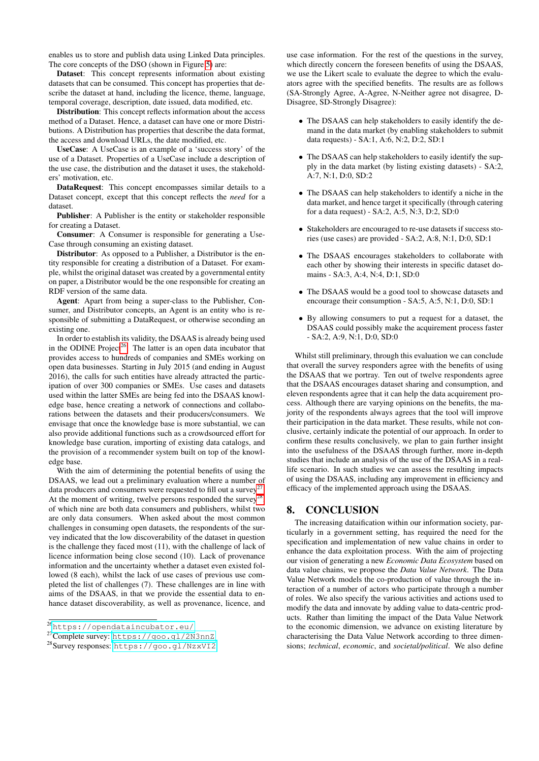enables us to store and publish data using Linked Data principles. The core concepts of the DSO (shown in Figure [5\)](#page-9-25) are:

Dataset: This concept represents information about existing datasets that can be consumed. This concept has properties that describe the dataset at hand, including the licence, theme, language, temporal coverage, description, date issued, data modified, etc.

Distribution: This concept reflects information about the access method of a Dataset. Hence, a dataset can have one or more Distributions. A Distribution has properties that describe the data format, the access and download URLs, the date modified, etc.

UseCase: A UseCase is an example of a 'success story' of the use of a Dataset. Properties of a UseCase include a description of the use case, the distribution and the dataset it uses, the stakeholders' motivation, etc.

DataRequest: This concept encompasses similar details to a Dataset concept, except that this concept reflects the *need* for a dataset.

Publisher: A Publisher is the entity or stakeholder responsible for creating a Dataset.

Consumer: A Consumer is responsible for generating a Use-Case through consuming an existing dataset.

Distributor: As opposed to a Publisher, a Distributor is the entity responsible for creating a distribution of a Dataset. For example, whilst the original dataset was created by a governmental entity on paper, a Distributor would be the one responsible for creating an RDF version of the same data.

Agent: Apart from being a super-class to the Publisher, Consumer, and Distributor concepts, an Agent is an entity who is responsible of submitting a DataRequest, or otherwise seconding an existing one.

In order to establish its validity, the DSAAS is already being used in the ODINE Project<sup>[26](#page-0-0)</sup>. The latter is an open data incubator that provides access to hundreds of companies and SMEs working on open data businesses. Starting in July 2015 (and ending in August 2016), the calls for such entities have already attracted the participation of over 300 companies or SMEs. Use cases and datasets used within the latter SMEs are being fed into the DSAAS knowledge base, hence creating a network of connections and collaborations between the datasets and their producers/consumers. We envisage that once the knowledge base is more substantial, we can also provide additional functions such as a crowdsourced effort for knowledge base curation, importing of existing data catalogs, and the provision of a recommender system built on top of the knowledge base.

With the aim of determining the potential benefits of using the DSAAS, we lead out a preliminary evaluation where a number of data producers and consumers were requested to fill out a survey<sup>[27](#page-0-0)</sup>. At the moment of writing, twelve persons responded the survey<sup>[28](#page-0-0)</sup>, of which nine are both data consumers and publishers, whilst two are only data consumers. When asked about the most common challenges in consuming open datasets, the respondents of the survey indicated that the low discoverability of the dataset in question is the challenge they faced most (11), with the challenge of lack of licence information being close second (10). Lack of provenance information and the uncertainty whether a dataset even existed followed (8 each), whilst the lack of use cases of previous use completed the list of challenges (7). These challenges are in line with aims of the DSAAS, in that we provide the essential data to enhance dataset discoverability, as well as provenance, licence, and

use case information. For the rest of the questions in the survey, which directly concern the foreseen benefits of using the DSAAS, we use the Likert scale to evaluate the degree to which the evaluators agree with the specified benefits. The results are as follows (SA-Strongly Agree, A-Agree, N-Neither agree not disagree, D-Disagree, SD-Strongly Disagree):

- The DSAAS can help stakeholders to easily identify the demand in the data market (by enabling stakeholders to submit data requests) - SA:1, A:6, N:2, D:2, SD:1
- The DSAAS can help stakeholders to easily identify the supply in the data market (by listing existing datasets) - SA:2, A:7, N:1, D:0, SD:2
- The DSAAS can help stakeholders to identify a niche in the data market, and hence target it specifically (through catering for a data request) - SA:2, A:5, N:3, D:2, SD:0
- Stakeholders are encouraged to re-use datasets if success stories (use cases) are provided - SA:2, A:8, N:1, D:0, SD:1
- The DSAAS encourages stakeholders to collaborate with each other by showing their interests in specific dataset domains - SA:3, A:4, N:4, D:1, SD:0
- The DSAAS would be a good tool to showcase datasets and encourage their consumption - SA:5, A:5, N:1, D:0, SD:1
- By allowing consumers to put a request for a dataset, the DSAAS could possibly make the acquirement process faster - SA:2, A:9, N:1, D:0, SD:0

Whilst still preliminary, through this evaluation we can conclude that overall the survey responders agree with the benefits of using the DSAAS that we portray. Ten out of twelve respondents agree that the DSAAS encourages dataset sharing and consumption, and eleven respondents agree that it can help the data acquirement process. Although there are varying opinions on the benefits, the majority of the respondents always agrees that the tool will improve their participation in the data market. These results, while not conclusive, certainly indicate the potential of our approach. In order to confirm these results conclusively, we plan to gain further insight into the usefulness of the DSAAS through further, more in-depth studies that include an analysis of the use of the DSAAS in a reallife scenario. In such studies we can assess the resulting impacts of using the DSAAS, including any improvement in efficiency and efficacy of the implemented approach using the DSAAS.

#### <span id="page-8-0"></span>8. CONCLUSION

The increasing dataification within our information society, particularly in a government setting, has required the need for the specification and implementation of new value chains in order to enhance the data exploitation process. With the aim of projecting our vision of generating a new *Economic Data Ecosystem* based on data value chains, we propose the *Data Value Network*. The Data Value Network models the co-production of value through the interaction of a number of actors who participate through a number of roles. We also specify the various activities and actions used to modify the data and innovate by adding value to data-centric products. Rather than limiting the impact of the Data Value Network to the economic dimension, we advance on existing literature by characterising the Data Value Network according to three dimensions; *technical*, *economic*, and *societal/political*. We also define

<sup>26</sup><https://opendataincubator.eu/>

<sup>27</sup>Complete survey: <https://goo.gl/2N3nnZ>

<sup>28</sup>Survey responses: <https://goo.gl/NzxVI2>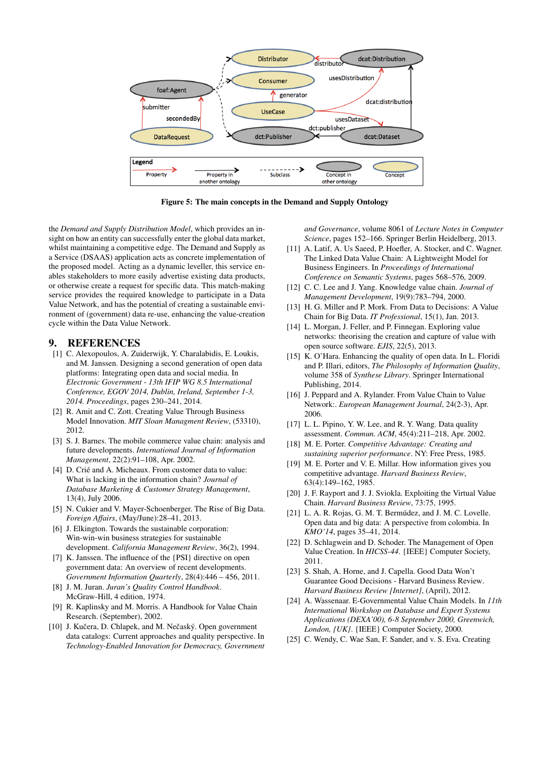

<span id="page-9-25"></span>Figure 5: The main concepts in the Demand and Supply Ontology

the *Demand and Supply Distribution Model*, which provides an insight on how an entity can successfully enter the global data market, whilst maintaining a competitive edge. The Demand and Supply as a Service (DSAAS) application acts as concrete implementation of the proposed model. Acting as a dynamic leveller, this service enables stakeholders to more easily advertise existing data products, or otherwise create a request for specific data. This match-making service provides the required knowledge to participate in a Data Value Network, and has the potential of creating a sustainable environment of (government) data re-use, enhancing the value-creation cycle within the Data Value Network.

#### 9. REFERENCES

- <span id="page-9-3"></span>[1] C. Alexopoulos, A. Zuiderwijk, Y. Charalabidis, E. Loukis, and M. Janssen. Designing a second generation of open data platforms: Integrating open data and social media. In *Electronic Government - 13th IFIP WG 8.5 International Conference, EGOV 2014, Dublin, Ireland, September 1-3, 2014. Proceedings*, pages 230–241, 2014.
- <span id="page-9-6"></span>[2] R. Amit and C. Zott. Creating Value Through Business Model Innovation. *MIT Sloan Managment Review*, (53310), 2012.
- <span id="page-9-7"></span>[3] S. J. Barnes. The mobile commerce value chain: analysis and future developments. *International Journal of Information Management*, 22(2):91–108, Apr. 2002.
- <span id="page-9-15"></span>[4] D. Crié and A. Micheaux. From customer data to value: What is lacking in the information chain? *Journal of Database Marketing & Customer Strategy Management*, 13(4), July 2006.
- <span id="page-9-0"></span>[5] N. Cukier and V. Mayer-Schoenberger. The Rise of Big Data. *Foreign Affairs*, (May/June):28–41, 2013.
- <span id="page-9-22"></span>[6] J. Elkington. Towards the sustainable corporation: Win-win-win business strategies for sustainable development. *California Management Review*, 36(2), 1994.
- <span id="page-9-4"></span>[7] K. Janssen. The influence of the  ${PSI}$  directive on open government data: An overview of recent developments. *Government Information Quarterly*, 28(4):446 – 456, 2011.
- <span id="page-9-20"></span>[8] J. M. Juran. *Juran's Quality Control Handbook*. McGraw-Hill, 4 edition, 1974.
- <span id="page-9-10"></span>[9] R. Kaplinsky and M. Morris. A Handbook for Value Chain Research. (September), 2002.
- <span id="page-9-19"></span>[10] J. Kučera, D. Chlapek, and M. Nečaský. Open government data catalogs: Current approaches and quality perspective. In *Technology-Enabled Innovation for Democracy, Government*

*and Governance*, volume 8061 of *Lecture Notes in Computer Science*, pages 152–166. Springer Berlin Heidelberg, 2013.

- <span id="page-9-17"></span>[11] A. Latif, A. Us Saeed, P. Hoefler, A. Stocker, and C. Wagner. The Linked Data Value Chain: A Lightweight Model for Business Engineers. In *Proceedings of International Conference on Semantic Systems*, pages 568–576, 2009.
- <span id="page-9-13"></span>[12] C. C. Lee and J. Yang. Knowledge value chain. *Journal of Management Development*, 19(9):783–794, 2000.
- <span id="page-9-16"></span>[13] H. G. Miller and P. Mork. From Data to Decisions: A Value Chain for Big Data. *IT Professional*, 15(1), Jan. 2013.
- <span id="page-9-5"></span>[14] L. Morgan, J. Feller, and P. Finnegan. Exploring value networks: theorising the creation and capture of value with open source software. *EJIS*, 22(5), 2013.
- <span id="page-9-18"></span>[15] K. O'Hara. Enhancing the quality of open data. In L. Floridi and P. Illari, editors, *The Philosophy of Information Quality*, volume 358 of *Synthese Library*. Springer International Publishing, 2014.
- <span id="page-9-1"></span>[16] J. Peppard and A. Rylander. From Value Chain to Value Network:. *European Management Journal*, 24(2-3), Apr. 2006.
- <span id="page-9-21"></span>[17] L. L. Pipino, Y. W. Lee, and R. Y. Wang. Data quality assessment. *Commun. ACM*, 45(4):211–218, Apr. 2002.
- <span id="page-9-11"></span>[18] M. E. Porter. *Competitive Advantage: Creating and sustaining superior performance*. NY: Free Press, 1985.
- <span id="page-9-12"></span>[19] M. E. Porter and V. E. Millar. How information gives you competitive advantage. *Harvard Business Review*, 63(4):149–162, 1985.
- <span id="page-9-2"></span>[20] J. F. Rayport and J. J. Sviokla. Exploiting the Virtual Value Chain. *Harvard Business Review*, 73:75, 1995.
- <span id="page-9-24"></span>[21] L. A. R. Rojas, G. M. T. Bermúdez, and J. M. C. Lovelle. Open data and big data: A perspective from colombia. In *KMO'14*, pages 35–41, 2014.
- <span id="page-9-8"></span>[22] D. Schlagwein and D. Schoder. The Management of Open Value Creation. In *HICSS-44*. {IEEE} Computer Society, 2011.
- <span id="page-9-14"></span>[23] S. Shah, A. Horne, and J. Capella. Good Data Won't Guarantee Good Decisions - Harvard Business Review. *Harvard Business Review [Internet]*, (April), 2012.
- <span id="page-9-9"></span>[24] A. Wassenaar. E-Governmental Value Chain Models. In *11th International Workshop on Database and Expert Systems Applications (DEXA'00), 6-8 September 2000, Greenwich, London, {UK}*. {IEEE} Computer Society, 2000.
- <span id="page-9-23"></span>[25] C. Wendy, C. Wae San, F. Sander, and v. S. Eva. Creating